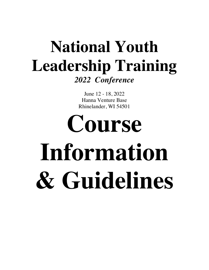## **National Youth Leadership Training** *2022 Conference*

June 12 - 18, 2022 Hanna Venture Base Rhinelander, WI 54501

# **Course Information & Guidelines**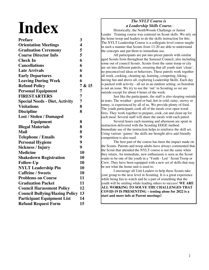## **Index**

| <b>Preface</b>                        | 3                       |
|---------------------------------------|-------------------------|
| <b>Orientation Meetings</b>           | $\overline{\mathbf{4}}$ |
| <b>Graduation Ceremony</b>            | 5                       |
| <b>Course Director Info</b>           | 5                       |
| <b>Check In</b>                       | 6                       |
| <b>Cancellations</b>                  | 6                       |
| <b>Late Arrivals</b>                  | 6                       |
| <b>Early Departures</b>               | 6                       |
| <b>Leaving During Week</b>            | 6                       |
| <b>Refund Policy</b>                  | 7 & 15                  |
| <b>Personal Equipment</b>             | 7                       |
| <b>FIRESTARTERS</b>                   | 7                       |
| <b>Special Needs - Diet, Activity</b> | 7                       |
| <b>Visitations</b>                    | 8                       |
| <b>Discipline</b>                     | 8                       |
| <b>Lost / Stolen / Damaged</b>        |                         |
| Equipment                             | 8                       |
| <b>Illegal Materials</b>              | 8                       |
| <b>Mail</b>                           | 8                       |
| <b>Telephone / Emails</b>             | 9                       |
| <b>Personal Hygiene</b>               | 9                       |
| <b>Sickness / Injury</b>              | 9                       |
| <b>Medicine</b>                       | 10                      |
| <b>Shakedown Registration</b>         | 10                      |
| <b>Follow-Up</b>                      | 10                      |
| <b>NYLT Leadership Pin</b>            | 10                      |
| <b>Caffeine / Sweets</b>              | 10                      |
| <b>Problems on Course</b>             | 11                      |
| <b>Graduation Packet</b>              | 11                      |
| <b>Council Harassment Policy</b>      | 12                      |
| <b>Council Bullying/Hazing Policy</b> | 13                      |
| <b>Participant Equipment List</b>     | 14                      |
| <b>Refund Request Form</b>            | 15                      |

#### *The NYLT Course is a Leadership Skills Course.*

Historically, the NorthWoods Challenge or Junior Leader Training course was centered on Scout skills. We rely on the home troop and leaders to do the skills instruction for this. The NYLT Leadership Course is a collegiate level course taught in such a manner that Scouts from 13-20 are able to understand the concepts and put them to immediate use.

All participants are put into preset patrols with similar aged Scouts from throughout the Samoset Council, also including some out of council Scouts. Scouts from the same troop or city are set into different patrols, ensuring that all youth start 'clean', no preconceived ideas or behaviors. These patrols work together all week, cooking, cleaning up, learning, competing, hiking, having fun and above all, exploring Leadership Skills. Each day is packed with activity - all set in an outdoor setting, so boredom is not an issue. We try to use the 'out' in Scouting so we are outside except for about 4 hours of the week.

Just like the participants, the staff is also sleeping outside in tents. The weather - good or bad, hot or cold, rainy, snowy or sunny, is experienced by all of us. We provide plenty of food. The youth participants cook all of the meals over open wood fires. They work together to prepare, cook, eat and clean up for each meal. Several staff will share the meals with each patrol.

Several hours each morning and afternoon are spent in instruction delivered with the Scouting EDGE method. Immediate use of the instruction helps to reinforce the skill set. Using various 'games' the skills are brought alive and friendly competition is also used.

The best part of the course has been the impact made on the Scouts. Parents and troop adults have always commented that the Scout that attended the NYLT course is not the same when they return. An immediate, new enthusiasm is seen as the Scout wants to be one of the youth in a 'Youth - Led ' Scout Troop or Crew. They have been equipped with a new set of skills that may be not what the home unit is used to.

I encourage all Unit Leaders to help these Scouts take your group to the next level in Scouting. It is a great experience while being fun to watch and be a part of something that the youth will be smiling while leading others to success! **WE ARE ALL WORKING TO SOLVE THE CHALLENGES THAT COVID-19 IS PRESENTING – tenting alone for 2022 is a start and more info at Parent meetings!**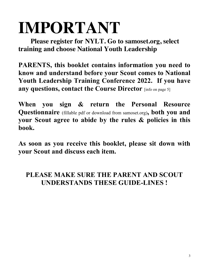## **IMPORTANT**

**Please register for NYLT. Go to samoset.org, select training and choose National Youth Leadership**

**PARENTS, this booklet contains information you need to know and understand before your Scout comes to National Youth Leadership Training Conference 2022. If you have any questions, contact the Course Director** [info on page 5]

**When you sign & return the Personal Resource Questionnaire** (fillable pdf or download from samoset.org)**, both you and your Scout agree to abide by the rules & policies in this book.**

**As soon as you receive this booklet, please sit down with your Scout and discuss each item.**

### **PLEASE MAKE SURE THE PARENT AND SCOUT UNDERSTANDS THESE GUIDE-LINES !**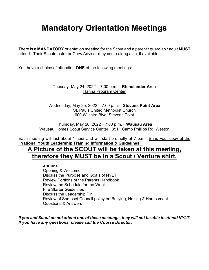## **Mandatory Orientation Meetings**

There is a **MANDATORY** orientation meeting for the Scout and a parent / guardian / adult **MUST** attend. Their Scoutmaster or Crew Advisor may come along also, if available.

You have a choice of attending **ONE** of the following meetings:

Tuesday, May 24, 2022 – 7:00 p.m. – **Rhinelander Area** Hanna Program Center

Wednesday, May 25, 2022 – 7:00 p.m. **– Stevens Point Area** St. Pauls United Methodist Church 600 Wilshire Blvd, Stevens Point

Thursday, May 26, 2022 **–** 7:00 p.m. **– Wausau Area** Wausau Homes Scout Service Center , 3511 Camp Phillips Rd, Weston

Each meeting will last about 1 hour and will start promptly at 7 p.m. Bring your copy of the **"National Youth Leadership Training Information & Guidelines."**

#### **A Picture of the SCOUT will be taken at this meeting, therefore they MUST be in a Scout / Venture shirt.**

#### **AGENDA**

Opening & Welcome Discuss the Purpose and Goals of NYLT Review Portions of the Parents Handbook Review the Schedule for the Week Fire Starter Guidelines Discuss the Leadership Pin Review of Samoset Council policy on Bullying, Hazing & Harassment Questions & Answers

If you and Scout do not attend one of these meetings, they will not be able to attend NYLT. *If you have any questions, please call the Course Director.*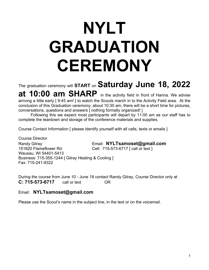## **NYLT GRADUATION CEREMONY**

## The graduation ceremony will **START** on **Saturday June 18, 2022**

**at 10:00 am SHARP** in the activity field in front of Hanna. We advise arriving a little early [ 9:45 am! ] to watch the Scouts march in to the Activity Field area. At the conclusion of this Graduation ceremony, about 10:30 am, there will be a short time for pictures, conversations, questions and answers [ nothing formally organized! ]

Following this we expect most participants will depart by 11:00 am as our staff has to complete the teardown and storage of the conference materials and supplies.

Course Contact Information [ please identify yourself with all calls, texts or emails ]

Course Director Randy Gilray Email: **NYLTsamoset@gmail.com** 151820 Flameflower Rd Cell: 715-573-6717 [ call or text ] Wausau, WI 54401-5413 Business: 715-355-1244 [ Gilray Heating & Cooling ] Fax: 715-241-9322

During the course from June 10 - June 18 contact Randy Gilray, Course Director only at **C: 715-573-6717** call or text OR

#### Email: **NYLTsamoset@gmail.com**

Please use the Scout's name in the subject line, in the text or on the voicemail.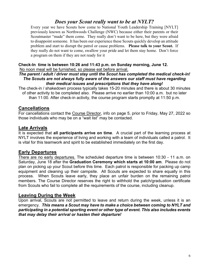#### *Does your Scout really want to be at NYLT?*

Every year we have Scouts how come to National Youth Leadership Training [NYLT] previously known as Northwoods Challenge (NWC) because either their parents or their Scoutmaster "made" them come. They really don't want to be here, but they were afraid to disappoint someone. It has been our experience these Scouts quickly develop an attitude problem and start to disrupt the patrol or cause problems. **Please talk to your Scout.** If they really do not want to come, swallow your pride and let them stay home. Don't force a program on them if they are not ready for it

#### **Check-In time is between 10:26 and 11:43 p.m. on Sunday morning, June 12.** No noon meal will be furnished, so please eat before arrival.

*The parent / adult / driver must stay until the Scout has completed the medical check-in! The Scouts are not always fully aware of the answers our staff must have regarding their medical issues and prescriptions that they have along!*

The check-in / shakedown process typically takes 15-20 minutes and there is about 30 minutes of other activity to be completed also. Please arrive no earlier than 10:00 a.m. but no later than 11:00. After check-in activity, the course program starts promptly at 11:50 p.m.

#### **Cancellations**

For cancellations contact the Course Director, info on page 5, prior to Friday, May 27, 2022 so those individuals who may be on a "wait list" may be contacted.

#### **Late Arrivals**

It is expected that **all participants arrive on time**. A crucial part of the learning process at NYLT involves the experience of living and working with a team of individuals called a patrol. It is vital for this teamwork and spirit to be established immediately on the first day.

#### **Early Departures**

There are no early departures. The scheduled departure time is between 10:30 - 11 a.m. on Saturday, June 18 after the **Graduation Ceremony which starts at 10:00 am**. Please do not plan on picking up your Scout before this time. Each patrol is responsible for packing up camp equipment and cleaning up their campsite. All Scouts are expected to share equally in this process. When Scouts leave early, they place an unfair burden on the remaining patrol members. The Course Director reserves the right to withhold the patch/graduation certificate from Scouts who fail to complete all the requirements of the course, including cleanup.

#### **Leaving During the Week**

Upon arrival, Scouts are not permitted to leave and return during the week, unless it is an emergency. *This means a Scout may have to make a choice between coming to NYLT and participating in a potential sporting event or other type of event. This also includes events that may delay their arrival or hasten their departure!*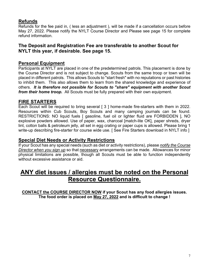#### **Refunds**

Refunds for the fee paid in, ( less an adjustment ), will be made if a cancellation occurs before May 27, 2022. Please notify the NYLT Course Director and Please see page 15 for complete refund information.

#### **The Deposit and Registration Fee are transferable to another Scout for NYLT this year, if desirable. See page 15.**

#### **Personal Equipment**

Participants at NYLT are placed in one of the predetermined patrols. This placement is done by the Course Director and is not subject to change. Scouts from the same troop or town will be placed in different patrols. This allows Scouts to "start fresh" with no reputations or past histories to inhibit them. This also allows them to learn from the shared knowledge and experience of others. *It is therefore not possible for Scouts to "share" equipment with another Scout from their home troop.* All Scouts must be fully prepared with their own equipment.

#### **FIRE STARTERS**

Each Scout will be required to bring several [3] home-made fire-starters with them in 2022. Resources within Cub Scouts, Boy Scouts and many camping journals can be found. RESTRICTIONS: NO liquid fuels [ gasoline, fuel oil or lighter fluid are FORBIDDEN ], NO explosive powders allowed. Use of paper, wax, charcoal [match-lite OK], paper shreds, dryer lint, cotton balls & petroleum jelly, all set in egg crating or paper cups is allowed. Please bring 1 write-up describing fire-starter for course wide use. [See Fire Starters download in NYLT info ]

#### **Special Diet Needs or Activity Restrictions**

If your Scout has any special needs (such as diet or activity restrictions), please *notify the Course Director when you sign up* so that necessary arrangements can be made. Allowances for minor physical limitations are possible, though all Scouts must be able to function independently without excessive assistance or aid.

#### **ANY diet issues / allergies must be noted on the Personal Resource Questionnaire.**

**CONTACT the COURSE DIRECTOR NOW if your Scout has any food allergies issues. The food order is placed on May 27, 2022 and is difficult to change !**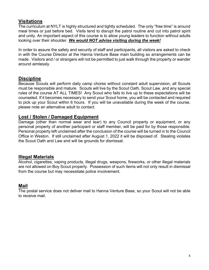#### **Visitations**

The curriculum at NYLT is highly structured and tightly scheduled. The only "free time" is around meal times or just before bed. Visits tend to disrupt the patrol routine and cut into patrol spirit and unity. An important aspect of this course is to allow young leaders to function without adults looking over their shoulder. *We would NOT advise visiting during the week!*

In order to assure the safety and security of staff and participants, all visitors are asked to check in with the Course Director at the Hanna Venture Base main building so arrangements can be made. Visitors and / or strangers will not be permitted to just walk through the property or wander around aimlessly.

#### **Discipline**

Because Scouts will perform daily camp chores without constant adult supervision, all Scouts must be responsible and mature. Scouts will live by the Scout Oath, Scout Law, and any special rules of the course AT ALL TIMES! Any Scout who fails to live up to these expectations will be counseled. If it becomes necessary to send your Scout home, you will be contacted and required to pick up your Scout within 6 hours. If you will be unavailable during the week of the course, please note an alternative adult to contact.

#### **Lost / Stolen / Damaged Equipment**

Damage (other than normal wear and tear) to any Council property or equipment, or any personal property of another participant or staff member, will be paid for by those responsible. Personal property left unclaimed after the conclusion of the course will be turned in to the Council Office in Weston. If still unclaimed after August 1, 2022 it will be disposed of. Stealing violates the Scout Oath and Law and will be grounds for dismissal.

#### **Illegal Materials**

Alcohol, cigarettes, vaping products, illegal drugs, weapons, fireworks, or other illegal materials are not allowed on Boy Scout property. Possession of such items will not only result in dismissal from the course but may necessitate police involvement.

#### **Mail**

The postal service does not deliver mail to Hanna Venture Base, so your Scout will not be able to receive mail.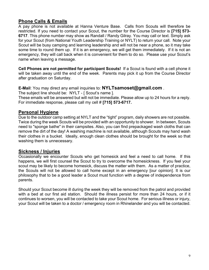#### **Phone Calls & Emails**

A pay phone is not available at Hanna Venture Base. Calls from Scouts will therefore be restricted. If you need to contact your Scout, the number for the Course Director is **[715] 573- 6717**. This phone number may show as Randall / Randy Gilray. You may call or text. Simply ask for your Scout (from National Youth Leadership Training or NYLT) to return your call. Note your Scout will be busy camping and learning leadership and will not be near a phone, so it may take some time to round them up. If it is an emergency, we will get them immediately. If it is not an emergency, they will call back when it is convenient for them to do so. Please use your Scout's name when leaving a message.

**Cell Phones are not permitted for participant Scouts!** If a Scout is found with a cell phone it will be taken away until the end of the week. Parents may pick it up from the Course Director after graduation on Saturday.

**E-Mail**: You may direct any email inquiries to: **NYLTsamoset@gmail.com** .

The subject line should be: NYLT - [ Scout's name ].

These emails will be answered but will not be immediate. Please allow up to 24 hours for a reply. For immediate response, please call my cell # **[715] 573-6717.**

#### **Personal Hygiene**

Due to the outdoor camp setting at NYLT and the "tight" program, daily showers are not possible. Twice during the week Scouts will be provided with an opportunity to shower. In between, Scouts need to "sponge bathe" in their campsites. Also, you can find prepackaged wash cloths that can remove the dirt of the day! A washing machine is not available, although Scouts may hand wash their clothes in a bucket. Ideally, enough clean clothes should be brought for the week so that washing them is unnecessary.

#### **Sickness / Injuries**

Occasionally we encounter Scouts who get homesick and feel a need to call home. If this happens, we will first counsel the Scout to try to overcome the homesickness. If you feel your scout may be likely to become homesick, discuss the matter with them. As a matter of practice, the Scouts will not be allowed to call home except in an emergency [our opinion]. It is our philosophy that to be a good leader a Scout must function with a degree of independence from parents.

Should your Scout become ill during the week they will be removed from the patrol and provided with a bed at our first aid station. Should the illness persist for more than 24 hours, or if it continues to worsen, you will be contacted to take your Scout home. For serious illness or injury, your Scout will be taken to a doctor / emergency room in Rhinelander and you will be contacted.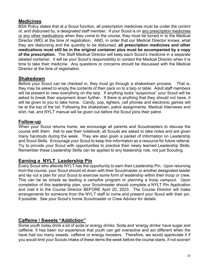#### **Medicines**

BSA Policy states that at a Scout function, all prescription medicines must be under the control of, and disbursed by, a designated staff member. If your Scout is on any prescription medicines or any other medications when they come to the course, they must be turned in to the Medical Director (MD) at the time of registration. AND, in order that our Medical Director knows, what they are disbursing and the quantity to be disbursed, **all prescription medicines and other medications must still be in the original container plus must be accompanied by a copy of the prescription.** The Staff Medical Director will keep each Scout's medicine in a separate labeled container. It will be your Scout's responsibility to contact the Medical Director when it is time to take their medicine. Any questions or concerns should be discussed with the Medical Director at the time of registration.

#### **Shakedown**

Before your Scout can be checked in, they must go through a shakedown process. That is, they may be asked to empty the contents of their pack on to a tarp or table. Adult staff members will be present to view everything on the tarp. If anything looks "suspicious" your Scout will be asked to break their equipment down further. If there is anything that they should not have, it will be given to you to take home. Candy, pop, lighters, cell phones and electronic games will be at the top of the list. Following the shakedown, patrol assignments, Medical Interviews and shirt, hat, and NYLT manual will be given out before the Scout joins their patrol.

#### **Follow-up**

When your Scout returns home, we encourage all parents and Scoutmasters to discuss the course with them. Ask to see their notebook; all Scouts are asked to take notes and are given many handouts during the week. They are also given a packet of information on Leadership and Scout Skills. Encourage your Scout to keep this information as a resource for future referral. Try to provide your Scout with opportunities to practice their newly learned Leadership Skills. Remember these Leadership Skills can be applied to any leadership role, not just Scouting.

#### **Earning a NYLT Leadership Pin**

Every Scout who attends NYLT has the opportunity to earn their Leadership Pin. Upon returning from the course, your Scout should sit down with their Scoutmaster or another designated leader and lay out a plan for your Scout to exercise some form of leadership within their troop or crew. This can be as simple as leading a campfire program or planning a troop campout. Upon completion of this leadership plan, your Scoutmaster should complete a NYLT Pin Application and mail it to the Course Director BEFORE April 20, 2023. The Course Director will make arrangements for someone from the NYLT staff to come and present your Scout with their pin, if possible. See your Scout's home Scoutmaster or Crew Advisor for details.

#### **Caffeine / Sweets "Addiction"**

Some youth today drink a lot of soda or energy drinks. Soda and 'energy drinks' have sugar and caffeine. It has been our experience that youth can get overactive and act different when the have had too many sweets. caffeine or energy boosters. Therefore, we would appreciate it if you would limit your Scouts intake of these items the week before the course starts, if not sooner!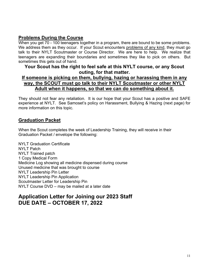#### **Problems During the Course**

When you get 70 - 100 teenagers together in a program, there are bound to be some problems. We address them as they occur. If your Scout encounters problems of any kind, they must go talk to their NYLT Scoutmaster or Course Director. We are here to help. We realize that teenagers are expanding their boundaries and sometimes they like to pick on others. But sometimes this gets out of hand.

#### **Your Scout has the right to feel safe at this NYLT course, or any Scout outing, for that matter.**

#### **If someone is picking on them, bullying, hazing or harassing them in any way, the SCOUT must go talk to their NYLT Scoutmaster or other NYLT Adult when it happens, so that we can do something about it.**

They should not fear any retaliation. It is our hope that your Scout has a positive and SAFE experience at NYLT. See Samoset's policy on Harassment, Bullying & Hazing (next page) for more information on this topic.

#### **Graduation Packet**

When the Scout completes the week of Leadership Training, they will receive in their Graduation Packet / envelope the following:

NYLT Graduation Certificate NYLT Patch NYLT Trained patch 1 Copy Medical Form Medicine Log showing all medicine dispensed during course Unused medicine that was brought to course NYLT Leadership Pin Letter NYLT Leadership Pin Application Scoutmaster Letter for Leadership Pin NYLT Course DVD – may be mailed at a later date

#### **Application Letter for Joining our 2023 Staff DUE DATE – OCTOBER 17, 2022**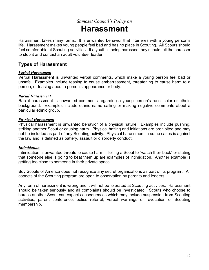#### *Samoset Council's Policy on*

### **Harassment**

Harassment takes many forms. It is unwanted behavior that interferes with a young person's life. Harassment makes young people feel bad and has no place in Scouting. All Scouts should feel comfortable at Scouting activities. If a youth is being harassed they should tell the harasser to stop it and contact an adult volunteer leader.

#### **Types of Harassment**

#### *Verbal Harassment*

Verbal Harassment is unwanted verbal comments, which make a young person feel bad or unsafe. Examples include teasing to cause embarrassment, threatening to cause harm to a person, or teasing about a person's appearance or body.

#### *Racial Harassment*

Racial harassment is unwanted comments regarding a young person's race, color or ethnic background. Examples include ethnic name calling or making negative comments about a particular ethnic group.

#### *Physical Harassment*

Physical harassment is unwanted behavior of a physical nature. Examples include pushing, striking another Scout or causing harm. Physical hazing and initiations are prohibited and may not be included as part of any Scouting activity. Physical harassment in some cases is against the law and is defined as battery, assault or disorderly conduct.

#### *Intimidation*

Intimidation is unwanted threats to cause harm. Telling a Scout to "watch their back" or stating that someone else is going to beat them up are examples of intimidation. Another example is getting too close to someone in their private space.

Boy Scouts of America does not recognize any secret organizations as part of its program. All aspects of the Scouting program are open to observation by parents and leaders.

Any form of harassment is wrong and it will not be tolerated at Scouting activities. Harassment should be taken seriously and all complaints should be investigated. Scouts who choose to harass another Scout can expect consequences which may include suspension from Scouting activities, parent conference, police referral, verbal warnings or revocation of Scouting membership.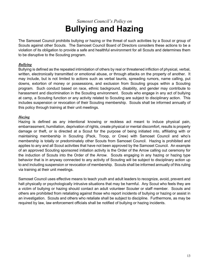### *Samoset Council's Policy on* **Bullying and Hazing**

The Samoset Council prohibits bullying or hazing or the threat of such activities by a Scout or group of Scouts against other Scouts. The Samoset Council Board of Directors considers these actions to be a violation of its obligation to provide a safe and healthful environment for all Scouts and determines them to be disruptive to the Scouting program.

#### *Bullying*

Bullying is defined as the repeated intimidation of others by real or threatened infliction of physical, verbal, written, electronically transmitted or emotional abuse, or through attacks on the property of another. It may include, but is not limited to actions such as verbal taunts, spreading rumors, name calling, put downs, extortion of money or possessions, and exclusion from Scouting groups within a Scouting program. Such conduct based on race, ethnic background, disability, and gender may contribute to harassment and discrimination in the Scouting environment. Scouts who engage in any act of bullying at camp, a Scouting function or any activity related to Scouting are subject to disciplinary action. This includes suspension or revocation of their Scouting membership. Scouts shall be informed annually of this policy through training at their unit meetings.

#### *Hazing*

Hazing is defined as any intentional knowing or reckless act meant to induce physical pain, embarrassment, humiliation, deprivation of rights, create physical or mental discomfort, results is property damage or theft, or is directed at a Scout for the purpose of being initiated into, affiliating with or maintaining membership in Scouting (Pack, Troop, or Crew) with Samoset Council and who's membership is totally or predominately other Scouts from Samoset Council. Hazing is prohibited and applies to any and all Scout activities that have not been approved by the Samoset Council. An example of an approved Scouting sponsored initiation activity is the Order of the Arrow calling out ceremony for the induction of Scouts into the Order of the Arrow. Scouts engaging in any hazing or hazing type behavior that is in anyway connected to any activity of Scouting will be subject to disciplinary action up to and including suspension or revocation of membership. Scouts shall be informed annually of this ruling via training at their unit meetings.

Samoset Council uses effective means to teach youth and adult leaders to recognize, avoid, prevent and halt physically or psychologically intrusive situations that may be harmful. Any Scout who feels they are a victim of bullying or hazing should contact an adult volunteer Scouter or staff member. Scouts and others are prohibited from retaliating against those who report incidents of bullying or hazing or assist in an investigation. Scouts and others who retaliate shall be subject to discipline. Furthermore, as may be required by law, law enforcement officials shall be notified of bullying or hazing incidents.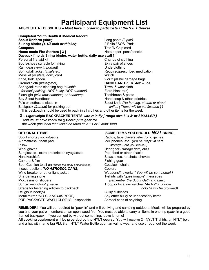### **Participant Equipment List**

**ABSOLUTE NECESSITIES --** *Must have in order to participate at the NYLT Course*

**Completed Youth Health & Medical Record Scout Uniform** *(shirt)*<br> **3** - ring binder *(1-1/2 inch or thicker)*<br>
2 Brillo / SOS Pads **3** - ring binder  $(1-1/2)$  *inch* or *thicker*) **Compass** Tote 'N Chip card **Home-made Fire Starters [ 3 ]** Note paper, pens/pencils **Daypack [ holds 3 ring binder, water bottle, daily use stuff ]** Personal first aid kit Change of clothing Boots/shoes suitable for hiking Extra pair of shoes Rain gear *(very important)* Underclothing Required/prescribed medication Mess kit *(or plate, bowl, cup)* Watch Knife, fork, spoon 2 or 3 plastic garbage bags<br>
2 or 3 plastic garbage bags<br>
2 or 3 plastic garbage bags  $G$  **Ground cloth** *(waterproof)* Spring/fall rated sleeping bag *(suitable* Towel & washcloth *for backpacking--NOT bulky, NOT summer)* Extra blanket(s) Flashlight *(with new batteries) or headlamp* Toothbrush & paste Boy Scout Handbook **Hand Soap & other toiletries** PJ's or clothes to sleep in Scout knife *(No hunting, sheath or street* Backpack *(framed)* for packing out *knifes [ These will be confiscated ] )*

This backpack should be used to pack in all clothes and other items for the week

#### *2 - Lightweight* **BACKPACKER TENTS** *with rain fly [ rough size 8' x 8' or SMALLER ]* **Tent must have room for 1 Scout** *plus* **gear for**

**\_\_\_\_\_\_\_\_\_\_\_\_\_\_\_\_\_\_\_\_\_\_\_\_\_\_\_\_\_\_\_\_\_\_\_\_\_\_\_\_\_\_\_\_\_\_\_\_\_\_\_\_\_\_\_\_\_\_\_\_\_\_\_\_\_\_\_\_\_\_\_\_\_\_\_\_\_\_\_\_\_\_\_\_**

the week *(the ideal tent would be rated as a " 1 or 2-man" tent)*

Scout shorts / socks/pants Radios, tape players, electronic games, Air mattress / foam pad cell phones, etc. (will *be "kept" in safe* Pillow *storage until you leave!!)* Work gloves Headgear *(strange hats, etc.)* Sunglasses - extra prescription eyeglasses **Pop**, food or other snacks Handkerchiefs Saws, axes, hatchets, shovels Camera & film **Fishing gear** Seat Cushion to sit on *(during the many presentations)* Cots/lawn chairs Insect repellent *(NO AEROSOL CANS)* Coolers Wind breaker or other light jacket Weapons/fireworks *( You will be sent home! )* Sharpening stone T-shirts with "questionable" messages Moccasins or slippers *(remember the Scout Oath and Law!)* Sun screen lotion/lip salve Troop or local neckerchief *(An NYLT course*) Religious book(s)<br>
Metal mirror (NO GLASS MIRRORS) Bulky suitcases<br>
Any other bulky PRE-PACKAGED WASH CLOTHS - disposable Aerosol cans of anything

#### **OPTIONAL ITEMS: SOME ITEMS YOU SHOULD** *NOT* **BRING:**

Straps for fastening articles to backpack *bolo tie will be provided)*

Any other bulky or unnecessary items

**REMINDER!** You will be required to "pack in" and will be living and camping outdoors. Meals will be prepared by you and your patrol members on an open wood fire. You must be able to carry all items in one trip (pack in a good framed backpack). If you can get by without something, leave it home!

**All cooking equipment will be provided by the NYLT course.** You will receive 2 - NYLT T-shirts, an NYLT bolo, and a hat with name tag PLUS an NYLT Water Bottle upon arrival, to wear and use throughout the week.